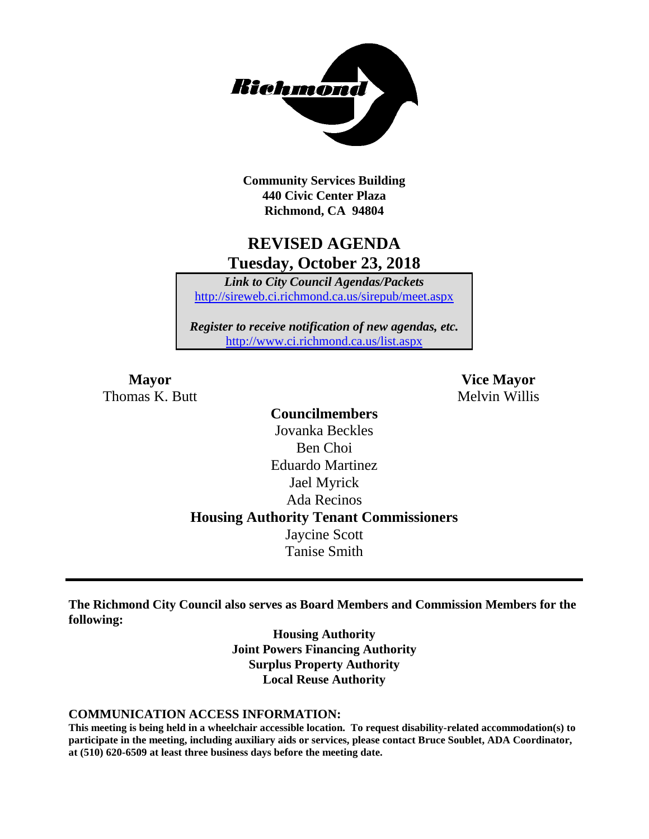

**Community Services Building 440 Civic Center Plaza Richmond, CA 94804**

# **REVISED AGENDA Tuesday, October 23, 2018**

*Link to City Council Agendas/Packets* <http://sireweb.ci.richmond.ca.us/sirepub/meet.aspx>

*Register to receive notification of new agendas, etc.* <http://www.ci.richmond.ca.us/list.aspx>

Thomas K. Butt Melvin Willis

**Mayor Vice Mayor**

**Councilmembers** Jovanka Beckles Ben Choi Eduardo Martinez Jael Myrick Ada Recinos **Housing Authority Tenant Commissioners** Jaycine Scott Tanise Smith

**The Richmond City Council also serves as Board Members and Commission Members for the following:**

> **Housing Authority Joint Powers Financing Authority Surplus Property Authority Local Reuse Authority**

#### **COMMUNICATION ACCESS INFORMATION:**

**This meeting is being held in a wheelchair accessible location. To request disability-related accommodation(s) to participate in the meeting, including auxiliary aids or services, please contact Bruce Soublet, ADA Coordinator, at (510) 620-6509 at least three business days before the meeting date.**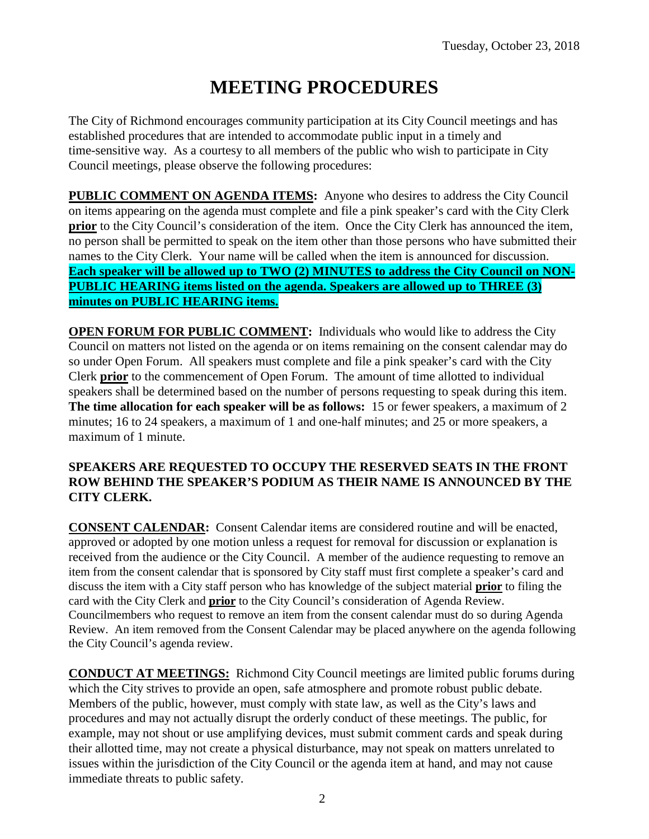# **MEETING PROCEDURES**

The City of Richmond encourages community participation at its City Council meetings and has established procedures that are intended to accommodate public input in a timely and time-sensitive way. As a courtesy to all members of the public who wish to participate in City Council meetings, please observe the following procedures:

**PUBLIC COMMENT ON AGENDA ITEMS:** Anyone who desires to address the City Council on items appearing on the agenda must complete and file a pink speaker's card with the City Clerk **prior** to the City Council's consideration of the item. Once the City Clerk has announced the item, no person shall be permitted to speak on the item other than those persons who have submitted their names to the City Clerk. Your name will be called when the item is announced for discussion. **Each speaker will be allowed up to TWO (2) MINUTES to address the City Council on NON-PUBLIC HEARING items listed on the agenda. Speakers are allowed up to THREE (3) minutes on PUBLIC HEARING items.**

**OPEN FORUM FOR PUBLIC COMMENT:** Individuals who would like to address the City Council on matters not listed on the agenda or on items remaining on the consent calendar may do so under Open Forum. All speakers must complete and file a pink speaker's card with the City Clerk **prior** to the commencement of Open Forum. The amount of time allotted to individual speakers shall be determined based on the number of persons requesting to speak during this item. **The time allocation for each speaker will be as follows:** 15 or fewer speakers, a maximum of 2 minutes; 16 to 24 speakers, a maximum of 1 and one-half minutes; and 25 or more speakers, a maximum of 1 minute.

### **SPEAKERS ARE REQUESTED TO OCCUPY THE RESERVED SEATS IN THE FRONT ROW BEHIND THE SPEAKER'S PODIUM AS THEIR NAME IS ANNOUNCED BY THE CITY CLERK.**

**CONSENT CALENDAR:** Consent Calendar items are considered routine and will be enacted, approved or adopted by one motion unless a request for removal for discussion or explanation is received from the audience or the City Council. A member of the audience requesting to remove an item from the consent calendar that is sponsored by City staff must first complete a speaker's card and discuss the item with a City staff person who has knowledge of the subject material **prior** to filing the card with the City Clerk and **prior** to the City Council's consideration of Agenda Review. Councilmembers who request to remove an item from the consent calendar must do so during Agenda Review. An item removed from the Consent Calendar may be placed anywhere on the agenda following the City Council's agenda review.

**CONDUCT AT MEETINGS:** Richmond City Council meetings are limited public forums during which the City strives to provide an open, safe atmosphere and promote robust public debate. Members of the public, however, must comply with state law, as well as the City's laws and procedures and may not actually disrupt the orderly conduct of these meetings. The public, for example, may not shout or use amplifying devices, must submit comment cards and speak during their allotted time, may not create a physical disturbance, may not speak on matters unrelated to issues within the jurisdiction of the City Council or the agenda item at hand, and may not cause immediate threats to public safety.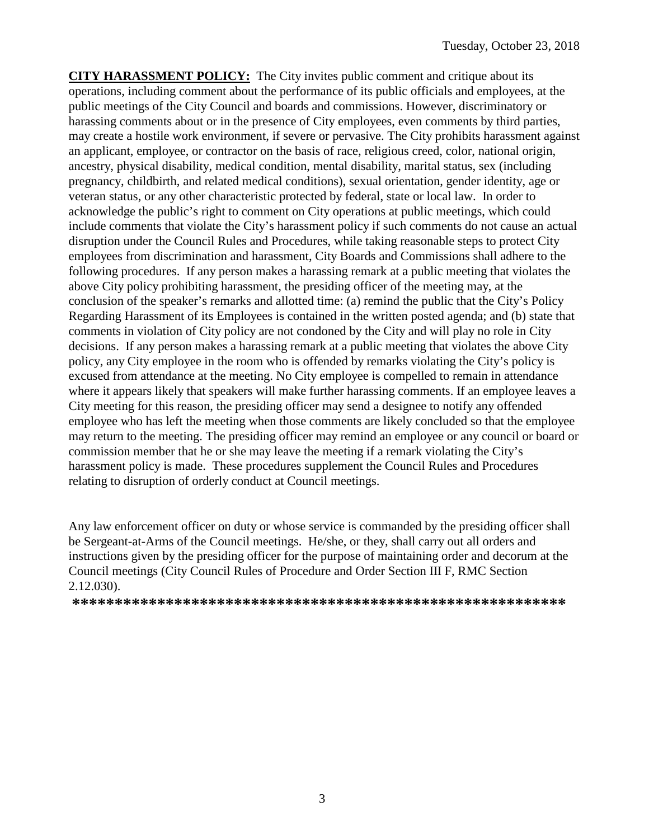**CITY HARASSMENT POLICY:** The City invites public comment and critique about its operations, including comment about the performance of its public officials and employees, at the public meetings of the City Council and boards and commissions. However, discriminatory or harassing comments about or in the presence of City employees, even comments by third parties, may create a hostile work environment, if severe or pervasive. The City prohibits harassment against an applicant, employee, or contractor on the basis of race, religious creed, color, national origin, ancestry, physical disability, medical condition, mental disability, marital status, sex (including pregnancy, childbirth, and related medical conditions), sexual orientation, gender identity, age or veteran status, or any other characteristic protected by federal, state or local law. In order to acknowledge the public's right to comment on City operations at public meetings, which could include comments that violate the City's harassment policy if such comments do not cause an actual disruption under the Council Rules and Procedures, while taking reasonable steps to protect City employees from discrimination and harassment, City Boards and Commissions shall adhere to the following procedures. If any person makes a harassing remark at a public meeting that violates the above City policy prohibiting harassment, the presiding officer of the meeting may, at the conclusion of the speaker's remarks and allotted time: (a) remind the public that the City's Policy Regarding Harassment of its Employees is contained in the written posted agenda; and (b) state that comments in violation of City policy are not condoned by the City and will play no role in City decisions. If any person makes a harassing remark at a public meeting that violates the above City policy, any City employee in the room who is offended by remarks violating the City's policy is excused from attendance at the meeting. No City employee is compelled to remain in attendance where it appears likely that speakers will make further harassing comments. If an employee leaves a City meeting for this reason, the presiding officer may send a designee to notify any offended employee who has left the meeting when those comments are likely concluded so that the employee may return to the meeting. The presiding officer may remind an employee or any council or board or commission member that he or she may leave the meeting if a remark violating the City's harassment policy is made. These procedures supplement the Council Rules and Procedures relating to disruption of orderly conduct at Council meetings.

Any law enforcement officer on duty or whose service is commanded by the presiding officer shall be Sergeant-at-Arms of the Council meetings. He/she, or they, shall carry out all orders and instructions given by the presiding officer for the purpose of maintaining order and decorum at the Council meetings (City Council Rules of Procedure and Order Section III F, RMC Section 2.12.030).

**\*\*\*\*\*\*\*\*\*\*\*\*\*\*\*\*\*\*\*\*\*\*\*\*\*\*\*\*\*\*\*\*\*\*\*\*\*\*\*\*\*\*\*\*\*\*\*\*\*\*\*\*\*\*\*\*\*\***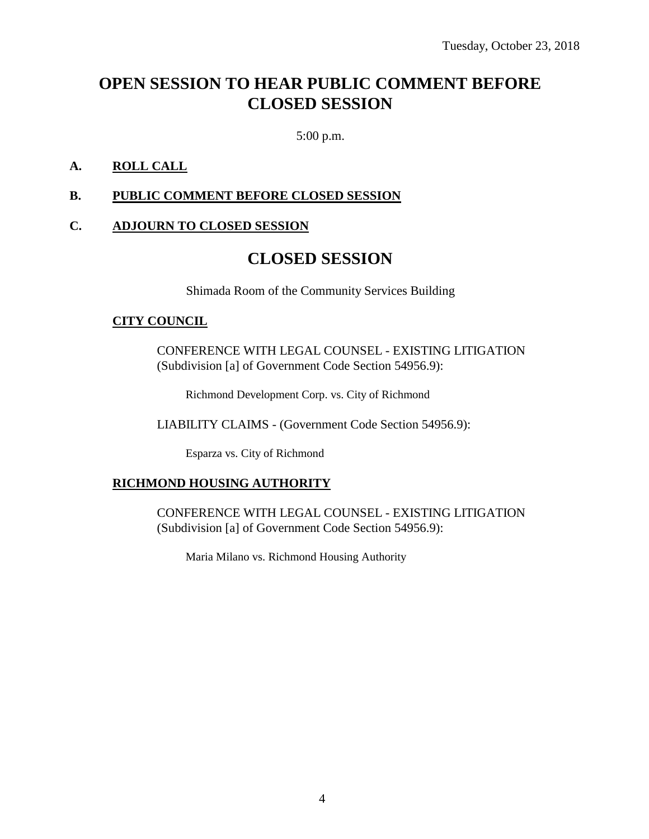# **OPEN SESSION TO HEAR PUBLIC COMMENT BEFORE CLOSED SESSION**

5:00 p.m.

### **A. ROLL CALL**

### **B. PUBLIC COMMENT BEFORE CLOSED SESSION**

### **C. ADJOURN TO CLOSED SESSION**

# **CLOSED SESSION**

Shimada Room of the Community Services Building

#### **CITY COUNCIL**

CONFERENCE WITH LEGAL COUNSEL - EXISTING LITIGATION (Subdivision [a] of Government Code Section 54956.9):

Richmond Development Corp. vs. City of Richmond

LIABILITY CLAIMS - (Government Code Section 54956.9):

Esparza vs. City of Richmond

### **RICHMOND HOUSING AUTHORITY**

CONFERENCE WITH LEGAL COUNSEL - EXISTING LITIGATION (Subdivision [a] of Government Code Section 54956.9):

Maria Milano vs. Richmond Housing Authority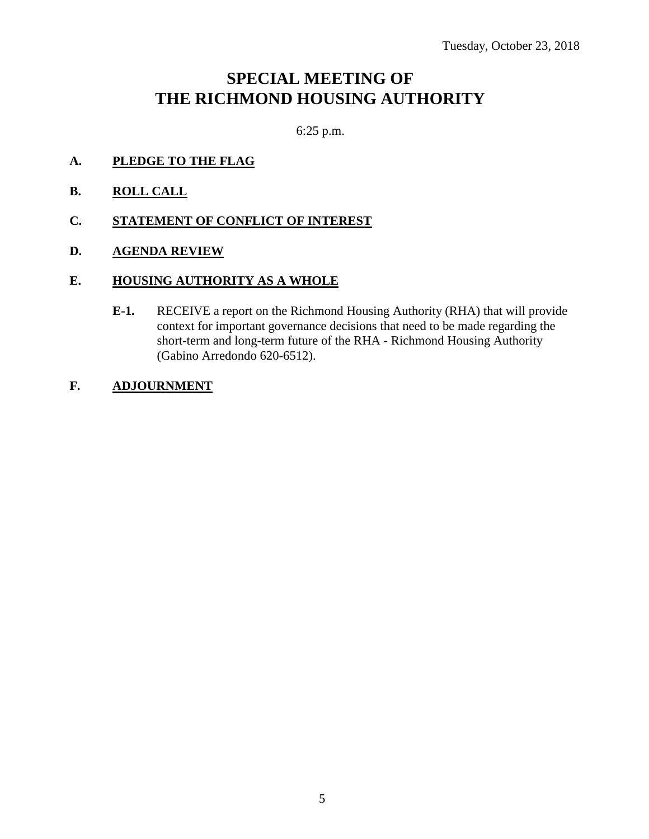# **SPECIAL MEETING OF THE RICHMOND HOUSING AUTHORITY**

6:25 p.m.

- **A. PLEDGE TO THE FLAG**
- **B. ROLL CALL**
- **C. STATEMENT OF CONFLICT OF INTEREST**
- **D. AGENDA REVIEW**

#### **E. HOUSING AUTHORITY AS A WHOLE**

**E-1.** RECEIVE a report on the Richmond Housing Authority (RHA) that will provide context for important governance decisions that need to be made regarding the short-term and long-term future of the RHA - Richmond Housing Authority (Gabino Arredondo 620-6512).

### **F. ADJOURNMENT**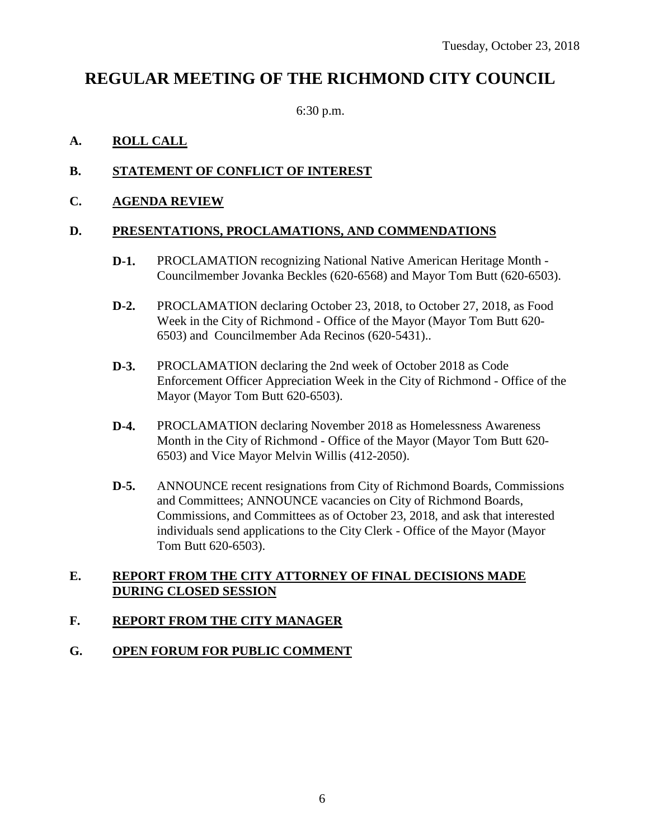# **REGULAR MEETING OF THE RICHMOND CITY COUNCIL**

6:30 p.m.

## **A. ROLL CALL**

## **B. STATEMENT OF CONFLICT OF INTEREST**

### **C. AGENDA REVIEW**

### **D. PRESENTATIONS, PROCLAMATIONS, AND COMMENDATIONS**

- **D-1.** PROCLAMATION recognizing National Native American Heritage Month Councilmember Jovanka Beckles (620-6568) and Mayor Tom Butt (620-6503).
- **D-2.** PROCLAMATION declaring October 23, 2018, to October 27, 2018, as Food Week in the City of Richmond - Office of the Mayor (Mayor Tom Butt 620- 6503) and Councilmember Ada Recinos (620-5431)..
- **D-3.** PROCLAMATION declaring the 2nd week of October 2018 as Code Enforcement Officer Appreciation Week in the City of Richmond - Office of the Mayor (Mayor Tom Butt 620-6503).
- **D-4.** PROCLAMATION declaring November 2018 as Homelessness Awareness Month in the City of Richmond - Office of the Mayor (Mayor Tom Butt 620- 6503) and Vice Mayor Melvin Willis (412-2050).
- **D-5.** ANNOUNCE recent resignations from City of Richmond Boards, Commissions and Committees; ANNOUNCE vacancies on City of Richmond Boards, Commissions, and Committees as of October 23, 2018, and ask that interested individuals send applications to the City Clerk - Office of the Mayor (Mayor Tom Butt 620-6503).

### **E. REPORT FROM THE CITY ATTORNEY OF FINAL DECISIONS MADE DURING CLOSED SESSION**

### **F. REPORT FROM THE CITY MANAGER**

### **G. OPEN FORUM FOR PUBLIC COMMENT**